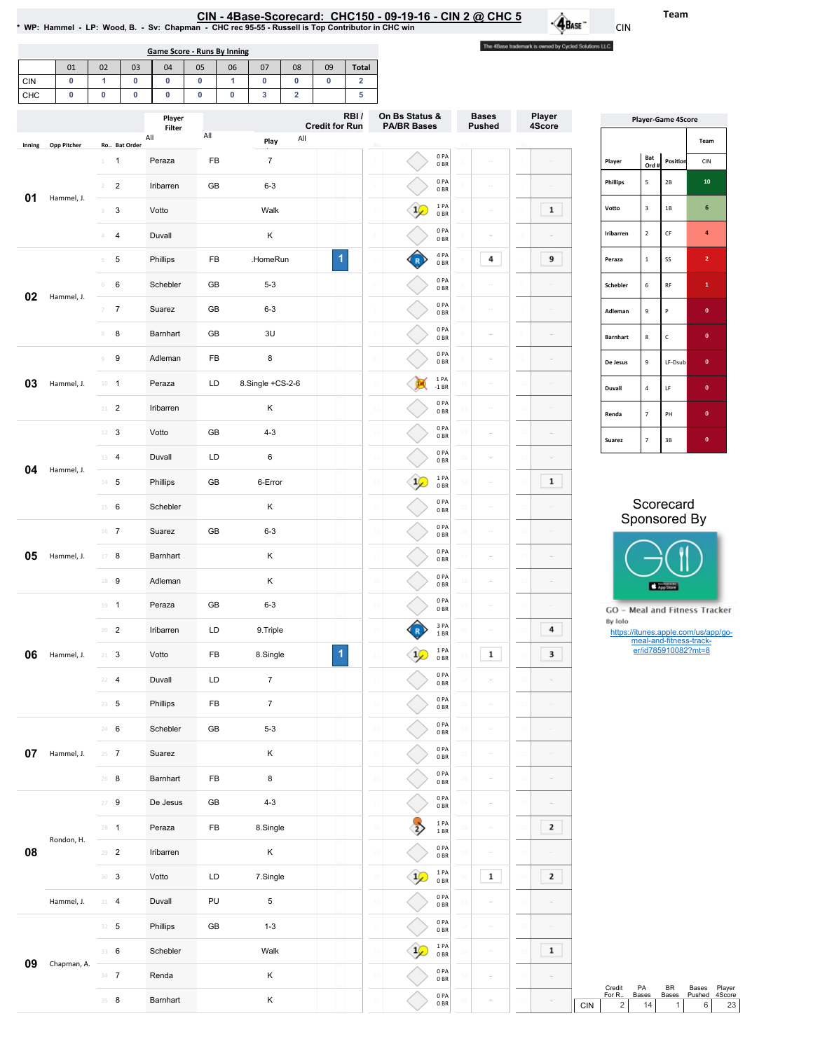# CIN-4Base-Scorecard:CHC150-09-19-16-CIN2@ CHC5 \*WP:Hammel-LP:Wood,B.-Sv:Chapman-CHCrec95-55-RussellisTopContributorinCHCwin

| 01 | 02 | 03 | 04 | 05 | 06 | 07 | 08 | 09 | Total |

Game Score - Runs By Inning

The 4Base trademark is owned by Cycled Solutions LLC.

 $\mathbf{\hat{A}}$ Base

| CIN    | $\bf{0}$    |        | $\mathbf{1}$   |                | $\pmb{0}$    | 0                   | $\pmb{0}$ | $\overline{1}$ | $\bf{0}$         | $\pmb{0}$      | $\bf{0}$              | $\overline{2}$          |                                |                        |                                                                                                                                                                                                                                                                                                                                                               |                                                                                                                                                                                                                                                                                                                                                               |                                                 |                   |                                                |                                          |  |  |
|--------|-------------|--------|----------------|----------------|--------------|---------------------|-----------|----------------|------------------|----------------|-----------------------|-------------------------|--------------------------------|------------------------|---------------------------------------------------------------------------------------------------------------------------------------------------------------------------------------------------------------------------------------------------------------------------------------------------------------------------------------------------------------|---------------------------------------------------------------------------------------------------------------------------------------------------------------------------------------------------------------------------------------------------------------------------------------------------------------------------------------------------------------|-------------------------------------------------|-------------------|------------------------------------------------|------------------------------------------|--|--|
| CHC    | $\mathbf 0$ |        | $\pmb{0}$      |                | $\pmb{0}$    | $\pmb{0}$<br>Player | $\pmb{0}$ | $\pmb{0}$      | $\mathbf{3}$     | $\overline{2}$ |                       | $\,$ 5 $\,$<br>RBI/     | On Bs Status &                 |                        | <b>Bases</b>                                                                                                                                                                                                                                                                                                                                                  | Player                                                                                                                                                                                                                                                                                                                                                        |                                                 |                   | <b>Player-Game 4Score</b>                      |                                          |  |  |
|        |             |        |                |                |              | Filter<br>All       | All       |                | Play             | All            | <b>Credit for Run</b> |                         | <b>PA/BR Bases</b>             |                        | <b>Pushed</b>                                                                                                                                                                                                                                                                                                                                                 | 4Score                                                                                                                                                                                                                                                                                                                                                        |                                                 |                   |                                                | Team                                     |  |  |
| Inning | Opp Pitcher |        | $1 - 1$        |                | Ro Bat Order | Peraza              | <b>FB</b> |                | $\overline{7}$   |                |                       |                         |                                | 0PA                    |                                                                                                                                                                                                                                                                                                                                                               |                                                                                                                                                                                                                                                                                                                                                               | Player                                          | Bat               | Position                                       | <b>CIN</b>                               |  |  |
|        | Hammel, J.  | $2 -$  | $\overline{2}$ |                | Iribarren    | GB                  |           | $6 - 3$        |                  |                |                       |                         | 0 <sub>BR</sub><br>0PA         | $\equiv$               | ۰                                                                                                                                                                                                                                                                                                                                                             | <b>Phillips</b>                                                                                                                                                                                                                                                                                                                                               | Ord#<br>$\sf 5$                                 | 2B                | ${\bf 10}$                                     |                                          |  |  |
| 01     |             | 3      | $\mathbf{3}$   |                | Votto        |                     |           | Walk           |                  |                |                       | $\frac{1}{2}$           | 0 <sub>BR</sub><br>1 PA<br>0BR | $\overline{\omega}$    | $\mathbf{1}$                                                                                                                                                                                                                                                                                                                                                  | Votto                                                                                                                                                                                                                                                                                                                                                         | $\mathsf 3$                                     | $1\mathsf{B}$     | $\boldsymbol{6}$                               |                                          |  |  |
|        |             |        | $4 -$          | $\overline{4}$ |              | Duvall              |           |                | К                |                |                       |                         |                                | 0PA                    | $\bar{\phantom{a}}$                                                                                                                                                                                                                                                                                                                                           | $\circ$                                                                                                                                                                                                                                                                                                                                                       | Iribarren                                       | $\sqrt{2}$        | $\mathsf{CF}$                                  | $\ddot{\phantom{a}}$                     |  |  |
|        |             |        | 5              | 5              |              | Phillips            | FB        |                | .HomeRun         |                |                       | $\overline{\mathbf{1}}$ | $\mathbb{R}$                   | 0BR<br>4 PA<br>0BR     | 4                                                                                                                                                                                                                                                                                                                                                             | 9                                                                                                                                                                                                                                                                                                                                                             | Peraza                                          | $\,$ 1 $\,$       | SS                                             | $\mathbf{2}$                             |  |  |
|        |             |        | $6\,$          | 6              |              | Schebler            | GB        |                | $5 - 3$          |                |                       |                         |                                | 0PA<br>0 <sub>BR</sub> |                                                                                                                                                                                                                                                                                                                                                               | $\hskip 1.5 cm \Box$                                                                                                                                                                                                                                                                                                                                          | Schebler                                        | $\sf 6$           | RF                                             | $\mathbf{1}^-$                           |  |  |
| 02     | Hammel, J.  |        | $7 -$          | $\overline{7}$ |              | Suarez              | GB        |                | $6 - 3$          |                |                       |                         |                                | 0PA<br>0 <sub>BR</sub> | $\hskip10pt\hskip10pt\hskip10pt\hskip10pt\hskip10pt$                                                                                                                                                                                                                                                                                                          | ۰                                                                                                                                                                                                                                                                                                                                                             | Adleman                                         | $\boldsymbol{9}$  | P                                              | $\mathbf{0}^-$                           |  |  |
|        |             |        | 8              | 8              |              | Barnhart            | GB        |                | 3U               |                |                       |                         |                                | 0PA<br>0BR             | $\bar{\omega}$                                                                                                                                                                                                                                                                                                                                                |                                                                                                                                                                                                                                                                                                                                                               | Barnhart                                        | $\bf8$            | c                                              | $\mathbf{0}^-$                           |  |  |
|        |             |        | $\circ$        | 9              |              | Adleman             | FB        |                | 8                |                |                       |                         |                                | 0PA<br>0BR             | $\overline{\phantom{m}}$                                                                                                                                                                                                                                                                                                                                      |                                                                                                                                                                                                                                                                                                                                                               | De Jesus                                        | 9                 | LF-Dsub                                        | $\mathbf{0}^-$                           |  |  |
| 03     | Hammel, J.  |        | $10 - 1$       |                |              | Peraza              | LD        |                | 8.Single +CS-2-6 |                |                       |                         |                                | 1 PA<br>$-1$ BR        | $\equiv$                                                                                                                                                                                                                                                                                                                                                      |                                                                                                                                                                                                                                                                                                                                                               | Duvall                                          | $\sqrt{4}$        | LF                                             | $\mathbf{0}^-$                           |  |  |
|        |             |        | $11$ 2         |                |              | Iribarren           |           |                | К                |                |                       |                         |                                | 0PA<br>0 <sub>BR</sub> |                                                                                                                                                                                                                                                                                                                                                               |                                                                                                                                                                                                                                                                                                                                                               |                                                 | $\overline{7}$    |                                                | $\mathbf 0$                              |  |  |
|        |             |        | $12 \t3$       |                |              | Votto               | GB        |                | $4 - 3$          |                |                       |                         |                                | 0PA<br>0 <sub>BR</sub> | $\equiv$                                                                                                                                                                                                                                                                                                                                                      | ۰                                                                                                                                                                                                                                                                                                                                                             | Renda                                           |                   | PH                                             |                                          |  |  |
|        |             |        | 13 4           |                |              | Duvall              | LD        |                | 6                |                |                       |                         |                                | 0PA<br>0BR             |                                                                                                                                                                                                                                                                                                                                                               | $\bar{\phantom{a}}$                                                                                                                                                                                                                                                                                                                                           | Suarez                                          | $\overline{7}$    | $3\mathsf{B}$                                  | $\bullet$                                |  |  |
| 04     |             |        |                | Hammel, J.     | $14 - 5$     |                     |           | Phillips       | GB               |                | 6-Error               |                         |                                |                        | $\rightarrow$                                                                                                                                                                                                                                                                                                                                                 | $1$ PA<br>0 <sub>BR</sub>                                                                                                                                                                                                                                                                                                                                     | $\overline{\phantom{m}}$                        | $\mathbf{1}$      |                                                |                                          |  |  |
|        |             |        |                | $15 \t 6$      |              | Schebler            |           |                | К                |                |                       |                         |                                | 0PA<br>0BR             | $\equiv$                                                                                                                                                                                                                                                                                                                                                      | ö                                                                                                                                                                                                                                                                                                                                                             |                                                 |                   | Scorecard                                      |                                          |  |  |
|        | Hammel, J.  | $16$ 7 |                |                | Suarez       | GB                  |           | $6 - 3$        |                  |                |                       |                         | 0PA<br>0 <sub>BR</sub>         |                        | $\hskip1.9cm\hskip1.9cm\hskip1.9cm\hskip1.9cm\hskip1.9cm\hskip1.9cm\hskip1.9cm\hskip1.9cm\hskip1.9cm\hskip1.9cm\hskip1.9cm\hskip1.9cm\hskip1.9cm\hskip1.9cm\hskip1.9cm\hskip1.9cm\hskip1.9cm\hskip1.9cm\hskip1.9cm\hskip1.9cm\hskip1.9cm\hskip1.9cm\hskip1.9cm\hskip1.9cm\hskip1.9cm\hskip1.9cm\hskip1.9cm\hskip1.9cm\hskip1.9cm\hskip1.9cm\hskip1.9cm\hskip$ |                                                                                                                                                                                                                                                                                                                                                               |                                                 | Sponsored By      |                                                |                                          |  |  |
| 05     |             |        |                | $17 - 8$       |              |                     | Barnhart  |                |                  | К              |                       |                         |                                |                        | 0PA<br>0 <sub>BR</sub>                                                                                                                                                                                                                                                                                                                                        | $\equiv$                                                                                                                                                                                                                                                                                                                                                      | ۰                                               |                   |                                                |                                          |  |  |
|        |             |        | 18 9           |                |              | Adleman             |           |                | Κ                |                |                       |                         |                                | 0PA<br>0BR             |                                                                                                                                                                                                                                                                                                                                                               |                                                                                                                                                                                                                                                                                                                                                               |                                                 |                   | App Store                                      |                                          |  |  |
|        |             |        | $19 - 1$       |                |              | Peraza              | GB        |                | $6 - 3$          |                |                       |                         |                                | 0PA<br>0BR             | $\bar{\omega}$                                                                                                                                                                                                                                                                                                                                                | $\qquad \qquad \qquad \qquad$                                                                                                                                                                                                                                                                                                                                 |                                                 |                   |                                                | GO - Meal and Fitness Tracker            |  |  |
|        |             |        | $20 - 2$       |                |              | Iribarren           | LD        |                | 9. Triple        |                |                       |                         | R                              | 3 PA<br>1 BR           |                                                                                                                                                                                                                                                                                                                                                               | 4                                                                                                                                                                                                                                                                                                                                                             | By Iolo                                         |                   |                                                | https://itunes.apple.com/us/app/go-      |  |  |
| 06     | Hammel, J.  |        | $21 - 3$       |                |              | Votto               | FB        |                | 8.Single         |                |                       | $\overline{\mathbf{1}}$ | $\frac{1}{2}$                  | 1PA<br>0 <sub>BR</sub> | 1                                                                                                                                                                                                                                                                                                                                                             | 3                                                                                                                                                                                                                                                                                                                                                             |                                                 |                   | meal-and-fitness-track-<br>er/id785910082?mt=8 |                                          |  |  |
|        |             |        | $22 - 4$       |                |              | Duvall              | LD        |                | $\overline{7}$   |                |                       |                         |                                | 0PA<br>0B              |                                                                                                                                                                                                                                                                                                                                                               |                                                                                                                                                                                                                                                                                                                                                               |                                                 |                   |                                                |                                          |  |  |
|        |             |        | $23 \t 5$      |                |              | Phillips            | FB        |                | $\overline{7}$   |                |                       |                         |                                | 0PA<br>0B              |                                                                                                                                                                                                                                                                                                                                                               | $\omega$                                                                                                                                                                                                                                                                                                                                                      |                                                 |                   |                                                |                                          |  |  |
|        |             |        | $24 - 6$       |                |              | Schebler            | GB        |                | $5 - 3$          |                |                       |                         |                                | $0$ PA<br>0BR          | $\overline{\phantom{m}}$                                                                                                                                                                                                                                                                                                                                      | $\qquad \qquad \qquad \qquad$                                                                                                                                                                                                                                                                                                                                 |                                                 |                   |                                                |                                          |  |  |
| 07     | Hammel, J.  |        | $25 \t{7}$     |                |              | Suarez              |           |                | Κ                |                |                       |                         |                                | 0PA<br>0BR             | $\equiv$                                                                                                                                                                                                                                                                                                                                                      | $\bar{\phantom{a}}$                                                                                                                                                                                                                                                                                                                                           |                                                 |                   |                                                |                                          |  |  |
|        |             |        | $26$ 8         |                |              | Barnhart            | FB        |                | 8                |                |                       |                         |                                | 0PA<br>0BR             | $\overline{\phantom{a}}$                                                                                                                                                                                                                                                                                                                                      | $\hskip1.9cm\hskip1.9cm\hskip1.9cm\hskip1.9cm\hskip1.9cm\hskip1.9cm\hskip1.9cm\hskip1.9cm\hskip1.9cm\hskip1.9cm\hskip1.9cm\hskip1.9cm\hskip1.9cm\hskip1.9cm\hskip1.9cm\hskip1.9cm\hskip1.9cm\hskip1.9cm\hskip1.9cm\hskip1.9cm\hskip1.9cm\hskip1.9cm\hskip1.9cm\hskip1.9cm\hskip1.9cm\hskip1.9cm\hskip1.9cm\hskip1.9cm\hskip1.9cm\hskip1.9cm\hskip1.9cm\hskip$ |                                                 |                   |                                                |                                          |  |  |
|        |             |        | $27 - 9$       |                |              | De Jesus            | GB        |                | $4 - 3$          |                |                       |                         |                                | 0PA<br>0B              | $\equiv$                                                                                                                                                                                                                                                                                                                                                      | $\equiv$                                                                                                                                                                                                                                                                                                                                                      |                                                 |                   |                                                |                                          |  |  |
|        |             |        | $28 - 1$       |                |              | Peraza              | FB        |                | 8.Single         |                |                       |                         | $\frac{1}{2}$                  | 1PA<br>1 BR            |                                                                                                                                                                                                                                                                                                                                                               | $\mathbf{2}$                                                                                                                                                                                                                                                                                                                                                  |                                                 |                   |                                                |                                          |  |  |
| 08     | Rondon, H.  |        | $29 - 2$       |                |              | Iribarren           |           |                | Κ                |                |                       |                         |                                | 0PA<br>0B              | $\bar{\omega}$                                                                                                                                                                                                                                                                                                                                                |                                                                                                                                                                                                                                                                                                                                                               |                                                 |                   |                                                |                                          |  |  |
|        |             |        | $30-3$         |                |              | Votto               | LD        |                | 7.Single         |                |                       |                         | $\frac{1}{2}$                  | 1PA<br>0BR             | $\mathbf{1}$                                                                                                                                                                                                                                                                                                                                                  | $\mathbf{2}$                                                                                                                                                                                                                                                                                                                                                  |                                                 |                   |                                                |                                          |  |  |
|        | Hammel, J.  |        | $31 \t 4$      |                |              | Duvall              | PU        |                | 5                |                |                       |                         |                                | 0PA<br>0BR             | $\bar{\omega}$                                                                                                                                                                                                                                                                                                                                                | $\overline{\phantom{a}}$                                                                                                                                                                                                                                                                                                                                      |                                                 |                   |                                                |                                          |  |  |
|        |             |        | $32 - 5$       |                |              | Phillips            | GB        |                | $1 - 3$          |                |                       |                         |                                | 0PA<br>0BR             | $\equiv$                                                                                                                                                                                                                                                                                                                                                      | $\equiv$                                                                                                                                                                                                                                                                                                                                                      |                                                 |                   |                                                |                                          |  |  |
|        |             |        | 33 6           |                |              | Schebler            |           |                | Walk             |                |                       |                         | $\frac{1}{2}$                  | 1PA<br>0B              | $\bar{\omega}$                                                                                                                                                                                                                                                                                                                                                | $\mathbf 1$                                                                                                                                                                                                                                                                                                                                                   |                                                 |                   |                                                |                                          |  |  |
| 09     | Chapman, A. |        |                | $34 - 7$       |              | Renda               |           |                | Κ                |                |                       |                         |                                | 0PA<br>0B              | $\overline{\phantom{m}}$                                                                                                                                                                                                                                                                                                                                      | $\overline{\phantom{m}}$                                                                                                                                                                                                                                                                                                                                      |                                                 |                   |                                                |                                          |  |  |
|        |             |        | $35 - 8$       |                |              | Barnhart            |           |                | Κ                |                |                       |                         |                                | 0PA<br>0B              |                                                                                                                                                                                                                                                                                                                                                               |                                                                                                                                                                                                                                                                                                                                                               | Credit<br>For R<br>$\overline{2}$<br><b>CIN</b> | PA<br>Bases<br>14 | BR<br>Bases                                    | Player<br>Bases<br>Pushed<br>4Score<br>6 |  |  |

## Player Bat Ord #  $\parallel$  Positi Team CIN Phillips 5 2B Votto  $\begin{array}{|c|c|c|c|c|}\n\hline\n3 & 1B\n\end{array}$ Iribarren  $2 \mid C$ F Peraza 1 SS Schebler 6 RF Adleman 9 P Barnhart  $8 \mid c$ De Jesus 9 LF-Dsu Duvall 4 LF Renda 7 PH Suarez  $7 \overline{3B}$ 6 4 Player-Game 4Score

### Scorecard Sponsored By



Team

CIN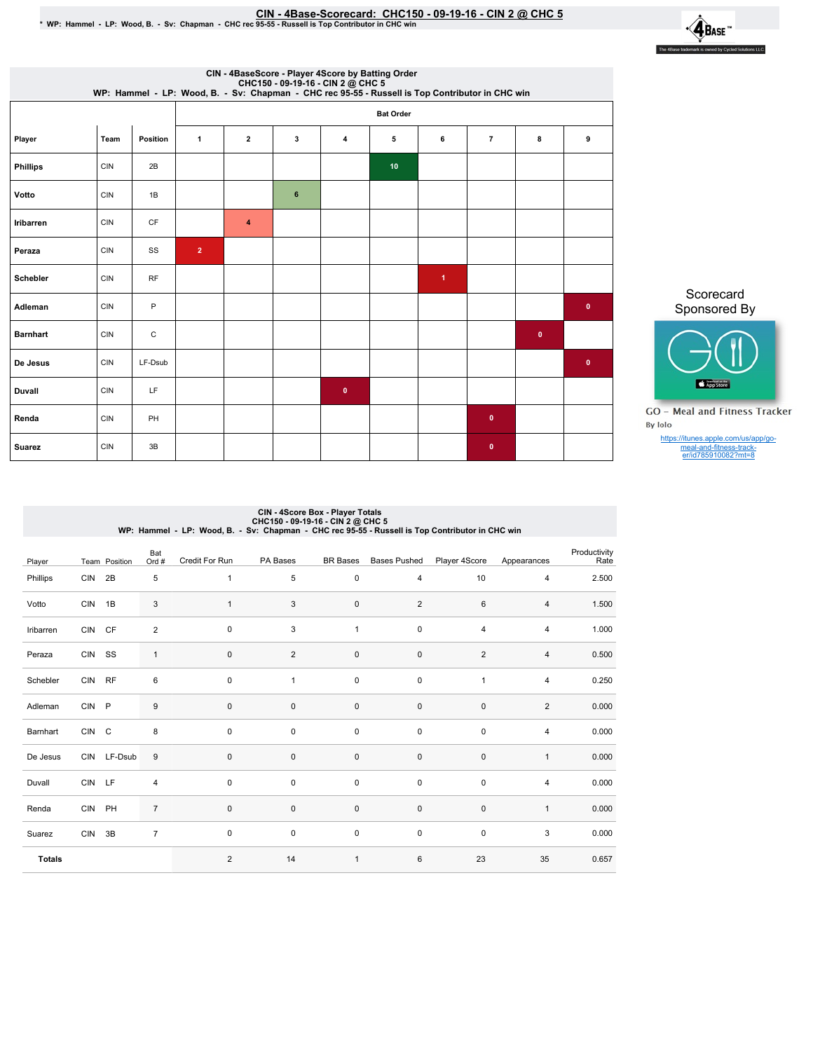## EIN - 4Base-Scorecard: CHC150 - 09-19-16 - CIN 2 @ CHC 5 لـ CIN - 4Base-Scorecard: CHC150 - 09-19-16 - CIN 2 @ CHC<br>\* WP: Hammel - LP: Wood, B. - Sv: Chapman - CHC rec 95-55 - Russell is Top Contributor in CHC win

 $\cdot \mathbf{A}_{\text{Base}}$ The 4Base trademark is owned by Cycled Solutions LLC.

|                 | CIN - 4BaseScore - Player 4Score by Batting Order<br>CHC150 - 09-19-16 - CIN 2 @ CHC 5<br>WP: Hammel - LP: Wood, B. - Sv: Chapman - CHC rec 95-55 - Russell is Top Contributor in CHC win |           |                |                     |   |                     |                  |                      |                |           |              |  |  |
|-----------------|-------------------------------------------------------------------------------------------------------------------------------------------------------------------------------------------|-----------|----------------|---------------------|---|---------------------|------------------|----------------------|----------------|-----------|--------------|--|--|
|                 |                                                                                                                                                                                           |           |                |                     |   |                     | <b>Bat Order</b> |                      |                |           |              |  |  |
| Player          | Team                                                                                                                                                                                      | Position  | $\mathbf{1}$   | $\overline{2}$      | 3 | $\overline{\bf{4}}$ | 5                | 6                    | $\overline{7}$ | 8         | 9            |  |  |
| <b>Phillips</b> | <b>CIN</b>                                                                                                                                                                                | 2B        |                |                     |   |                     | 10 <sub>1</sub>  |                      |                |           |              |  |  |
| Votto           | <b>CIN</b>                                                                                                                                                                                | 1B        |                |                     | 6 |                     |                  |                      |                |           |              |  |  |
| Iribarren       | <b>CIN</b>                                                                                                                                                                                | CF        |                | $\overline{\bf{4}}$ |   |                     |                  |                      |                |           |              |  |  |
| Peraza          | <b>CIN</b>                                                                                                                                                                                | SS        | $\overline{2}$ |                     |   |                     |                  |                      |                |           |              |  |  |
| <b>Schebler</b> | <b>CIN</b>                                                                                                                                                                                | <b>RF</b> |                |                     |   |                     |                  | $\blacktriangleleft$ |                |           |              |  |  |
| Adleman         | <b>CIN</b>                                                                                                                                                                                | P         |                |                     |   |                     |                  |                      |                |           | $\mathbf{0}$ |  |  |
| <b>Barnhart</b> | <b>CIN</b>                                                                                                                                                                                | C         |                |                     |   |                     |                  |                      |                | $\bullet$ |              |  |  |
| De Jesus        | <b>CIN</b>                                                                                                                                                                                | LF-Dsub   |                |                     |   |                     |                  |                      |                |           | $\bullet$    |  |  |
| Duvall          | <b>CIN</b>                                                                                                                                                                                | LF        |                |                     |   | $\mathbf{0}$        |                  |                      |                |           |              |  |  |
| Renda           | <b>CIN</b>                                                                                                                                                                                | PH        |                |                     |   |                     |                  |                      | $\mathbf{0}$   |           |              |  |  |
| <b>Suarez</b>   | <b>CIN</b>                                                                                                                                                                                | 3B        |                |                     |   |                     |                  |                      | $\mathbf{0}$   |           |              |  |  |

Scorecard Sponsored By



**GO** - Meal and Fitness Tracker By Iolo

https://itunes.apple.com/us/app/go-meal-and-fitness-track-er/id785910082?mt=8

# CIN - 4Score Box - Player Totals<br>CHC150 - OHC150 - 09-19-16<br>WP: Hammel - LP: Wood, B. - Sv: Chapman - CHC rec 95-55 - Russell is Top Contributor in CHC win

| Player        |            | Team Position | Bat<br>Ord #     | Credit For Run | PA Bases       | <b>BR</b> Bases | <b>Bases Pushed</b> | Player 4Score  | Appearances    | Productivity<br>Rate |
|---------------|------------|---------------|------------------|----------------|----------------|-----------------|---------------------|----------------|----------------|----------------------|
| Phillips      | CIN 2B     |               | 5                | $\mathbf{1}$   | 5              | 0               | $\overline{4}$      | 10             | $\overline{4}$ | 2.500                |
| Votto         | CIN 1B     |               | 3                | $\mathbf{1}$   | 3              | $\mathsf 0$     | 2                   | 6              | $\overline{4}$ | 1.500                |
| Iribarren     | CIN CF     |               | 2                | 0              | 3              | $\mathbf{1}$    | $\pmb{0}$           | 4              | 4              | 1.000                |
| Peraza        | CIN SS     |               | $\mathbf{1}$     | 0              | $\overline{2}$ | $\pmb{0}$       | $\pmb{0}$           | $\overline{2}$ | 4              | 0.500                |
| Schebler      | CIN RF     |               | 6                | 0              | $\mathbf{1}$   | $\pmb{0}$       | $\pmb{0}$           | $\mathbf{1}$   | 4              | 0.250                |
| Adleman       | CIN P      |               | $\boldsymbol{9}$ | 0              | 0              | 0               | $\pmb{0}$           | $\pmb{0}$      | $\overline{2}$ | 0.000                |
| Barnhart      | CIN C      |               | 8                | 0              | 0              | $\pmb{0}$       | $\pmb{0}$           | $\pmb{0}$      | 4              | 0.000                |
| De Jesus      |            | CIN LF-Dsub   | 9                | 0              | $\pmb{0}$      | $\pmb{0}$       | $\pmb{0}$           | $\pmb{0}$      | $\mathbf{1}$   | 0.000                |
| Duvall        | CIN LF     |               | $\overline{4}$   | 0              | 0              | $\pmb{0}$       | $\pmb{0}$           | $\pmb{0}$      | $\overline{4}$ | 0.000                |
| Renda         | CIN PH     |               | $\overline{7}$   | 0              | $\pmb{0}$      | $\pmb{0}$       | $\pmb{0}$           | $\pmb{0}$      | $\mathbf{1}$   | 0.000                |
| Suarez        | <b>CIN</b> | 3B            | $\overline{7}$   | $\mathbf 0$    | $\mathbf 0$    | 0               | $\pmb{0}$           | $\pmb{0}$      | 3              | 0.000                |
| <b>Totals</b> |            |               |                  | $\overline{2}$ | 14             | $\mathbf{1}$    | 6                   | 23             | 35             | 0.657                |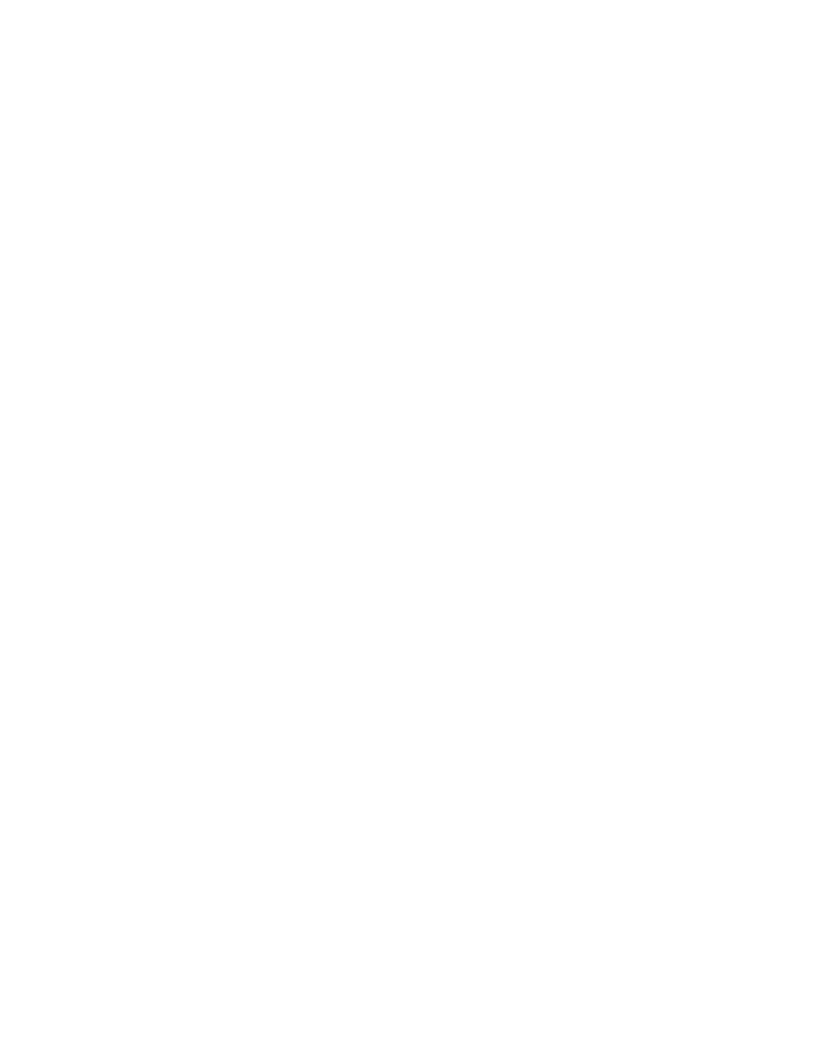|            |      |                  |                                                 | $8 + 8$   |  | $8,1$ # $8+8$ | 8,1 %DVHSFRUH 300 HU 6FRUHE\ %DWMQJ 2 UGHU |                                           |  |  |  |
|------------|------|------------------|-------------------------------------------------|-----------|--|---------------|--------------------------------------------|-------------------------------------------|--|--|--|
|            |      |                  | : $3 + DPPHO / 3$ : RRG % 6Y & KDSPDQ & + & U+F |           |  |               |                                            | 5 XVVHOOLV 7 RS & ROMMEXVIRULQ & + & Z LQ |  |  |  |
|            |      |                  |                                                 | %DW2 UGHU |  |               |                                            |                                           |  |  |  |
| 300\HU     | 7HDP | 3 RVIMRQ         |                                                 |           |  |               |                                            |                                           |  |  |  |
| 3 KLODSV   | 8,1  | %                |                                                 |           |  |               |                                            |                                           |  |  |  |
| 9 RWR      | 8,1  | %                |                                                 |           |  |               |                                            |                                           |  |  |  |
| , ULEDUHQ  | 8,1  | &)               |                                                 |           |  |               |                                            |                                           |  |  |  |
| 3HUD D     | 8,1  | 66               |                                                 |           |  |               |                                            |                                           |  |  |  |
| 6FKHEOHU   | 8,1  | 5)               |                                                 |           |  |               |                                            |                                           |  |  |  |
| \$ GOPP DQ | 8,1  | 3                |                                                 |           |  |               |                                            |                                           |  |  |  |
| %DLQKDUW   | 8,1  | &                |                                                 |           |  |               |                                            |                                           |  |  |  |
| 'H-HVXV    | 8,1  | $\prime$ ) ' VXE |                                                 |           |  |               |                                            |                                           |  |  |  |
| ' XYDOD    | 8,1  | $\left( \right)$ |                                                 |           |  |               |                                            |                                           |  |  |  |
| 5 HQGD     | 8,1  | $3+$             |                                                 |           |  |               |                                            |                                           |  |  |  |
| 6XDUH      | 8,1  | %                |                                                 |           |  |               |                                            |                                           |  |  |  |

 $8,1$  #  $8+8$ 

: 3 + DPPHO /3 : RRG% 6Y&KDSPDQ & +& U+F  $\frac{8.1}{5}$  XVHODV7RS&RQMUEXMRULQ& +& ZLQ

6 FRUHFDLG 6 SROVRUHG %

<u>KWOSY WACHYDSSORIERP XYDSSJR</u><br>PHDODOGILWOHAYWODEN<br><u>HULG "PW</u>

|                 |                |               |                   | : 3 + DPPHO /3 : RRG % 6Y & KDSPDQ & + & UHF 5XVVHOOLV 7RS & RQMUEXWRULQ & + & ZLQ | 8,1 6 FRUH%R[ 3000\HU7RW00V<br>$8+8$ $8,1 \# 8+8$ |  |                    |
|-----------------|----------------|---------------|-------------------|------------------------------------------------------------------------------------|---------------------------------------------------|--|--------------------|
|                 |                |               |                   |                                                                                    |                                                   |  |                    |
| 30MHU           |                | 7HDP 3RVML RQ | %DW<br>$2 \cup 5$ | &UHGLW, RU5XQ 3\$%DVHV %5%DVHV %DVHV3XVKHG 300XHU6FRUH \$SSHDUDGFHV                |                                                   |  | 3 URGXFWYUW<br>5DM |
| 3 KLODSV        | &,1 %          |               |                   |                                                                                    |                                                   |  |                    |
| 9 RWR           | 8,1 %          |               |                   |                                                                                    |                                                   |  |                    |
| , <b>UEDUHQ</b> | $8,1$ $8)$     |               |                   |                                                                                    |                                                   |  |                    |
| 3 HUD D         | 8,1 66         |               |                   |                                                                                    |                                                   |  |                    |
| 6 FKHEOHU       | $8,1$ 5)       |               |                   |                                                                                    |                                                   |  |                    |
| \$GOPPDQ        | $8,1$ 3        |               |                   |                                                                                    |                                                   |  |                    |
| <b>%DUCKDUW</b> | & 1 &          |               |                   |                                                                                    |                                                   |  |                    |
| 'H-HVXV         |                | &,1 /) ' VXE  |                   |                                                                                    |                                                   |  |                    |
| 'XYDO           | 8.1 /          |               |                   |                                                                                    |                                                   |  |                    |
| 5 HQGD          | $8.1 \quad 3+$ |               |                   |                                                                                    |                                                   |  |                    |
| <b>HUCK6</b>    | &,1 %          |               |                   |                                                                                    |                                                   |  |                    |
| 7RWDOV          |                |               |                   |                                                                                    |                                                   |  |                    |
|                 |                |               |                   |                                                                                    |                                                   |  |                    |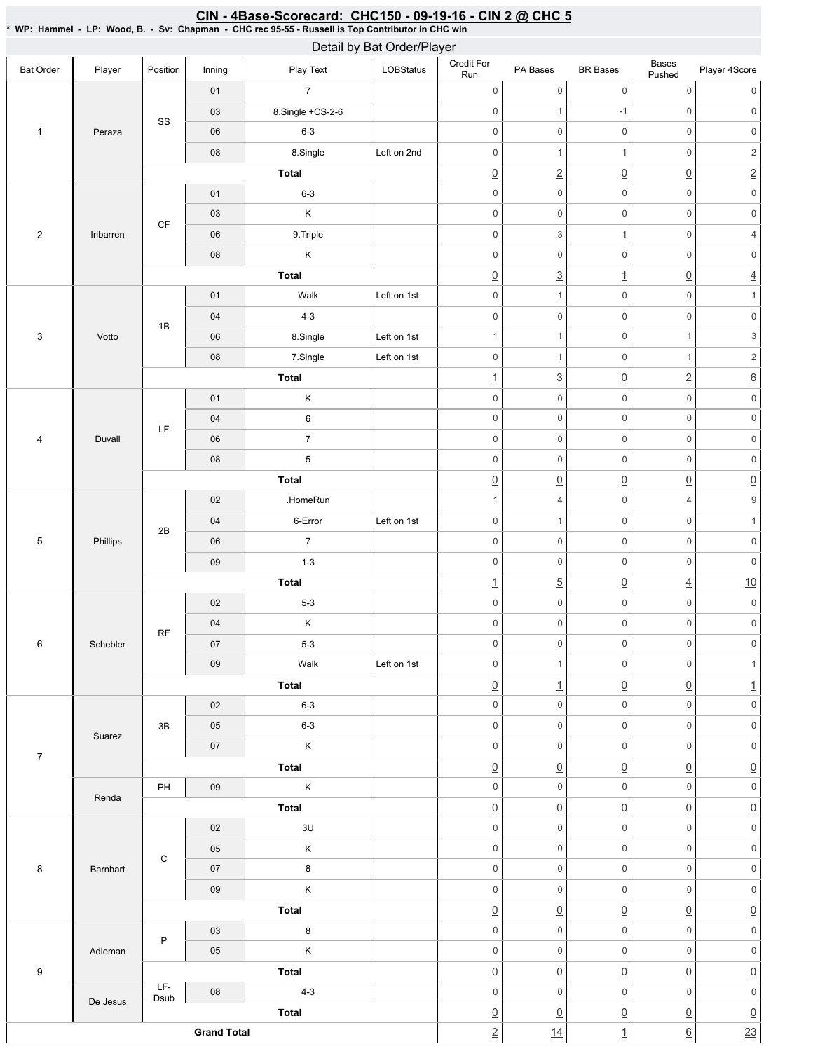#### Bat Order | Player | Position | Inning | Play Text | LOBStatus Credit For Run PA Bases BR Bases Bases Pushed Player 4Score 1 Peraza SS 01 7 03 8.Single +CS-2-6 06 6-3 08 8.Single Left on 2nd Total 2 Iribarren CF 01 6-3 03 K 06 9.Triple 08 | K Total 3 Votto 1B 01 Walk Left on 1st 04 4-3 06 | 8.Single | Left on 1st 08 | 7.Single | Left on 1st Total 4 Duvall LF 01 K 04 6 06 7 08 5 Total 5 Phillips 2B 02 | .HomeRun 04 | 6-Error | Left on 1st 06 7 09 1-3 Total 6 Schebler RF 02 5-3 04 K 07 5-3 09 | Walk | Left on 1st Total 7 Suarez 3B 02 6-3 05 6-3 07 K Total Renda PH 09 K Total 8 Barnhart C 02 3U 05 K 07 8 09 K Total 9 Adleman P 03 8 05 K Total De Jesus LF-Dsub 08 4-3 Total **Grand Total** 0 0 0 0 0 0 1 -1 0 0 0 0 0 0 0 0 1 1 0 2 0 2 0 0 2 0 0 0 0 0 0 0 0 0 0 0  $\begin{vmatrix} 3 & 1 & 0 & 4 \end{vmatrix}$ 0 0 0 0 0  $\begin{array}{ccc} \boxed{0} & \boxed{3} & \boxed{1} & \boxed{0} & \boxed{4} \end{array}$ 0 0 1 0 1 0 0 0 0 0 1 1 0 1 3 0 1 0 1 2  $\frac{1}{2}$   $\frac{3}{2}$   $\frac{0}{2}$   $\frac{2}{5}$ 0 0 0 0 0 0 0 0 0 0 0 0 0 0 0 0 0 0 0 0  $\overline{0}$   $\overline{0}$   $\overline{0}$   $\overline{0}$   $\overline{0}$   $\overline{0}$   $\overline{0}$ 1 4 0 4 9 0 0 1 0 0 0 0 0 0 0 0 0 0  $\frac{1}{1}$  5 0 4 10 0 0 0 0 0 0 0 0 0 0 0 0 0 0 0 0 0 1  $\Omega$  1 0 0 1 0 0 0 0 0 0 0 0 0 0 0 0 0 0 0  $\overline{0}$   $\overline{0}$   $\overline{0}$   $\overline{0}$   $\overline{0}$   $\overline{0}$   $\overline{0}$ 0 0 0 0 0  $\overline{0}$   $\overline{0}$   $\overline{0}$   $\overline{0}$   $\overline{0}$   $\overline{0}$   $\overline{0}$ 0 0 0 0 0 0 0 0 0 0 0 0 0 0 0 0 0 0 0 0 0  $\overline{0}$   $\overline{0}$   $\overline{0}$   $\overline{0}$   $\overline{0}$   $\overline{0}$   $\overline{0}$ 0 0 0 0 0 0 0 0 0 0  $\overline{0}$   $\overline{0}$   $\overline{0}$   $\overline{0}$   $\overline{0}$   $\overline{0}$   $\overline{0}$ 0 0 0 0 0  $\overline{0}$   $\overline{0}$   $\overline{0}$   $\overline{0}$   $\overline{0}$   $\overline{0}$   $\overline{0}$  $2$  14 1 6 23 Detail by Bat Order/Player

### <u>CIN - 4Base-Scorecard: CHC150 - 09-19-16 - CIN 2 @ CHC 5</u>

\* WP: Hammel - LP: Wood, B. - Sv: Chapman - CHC rec 95-55 - Russell is Top Contributor in CHC win